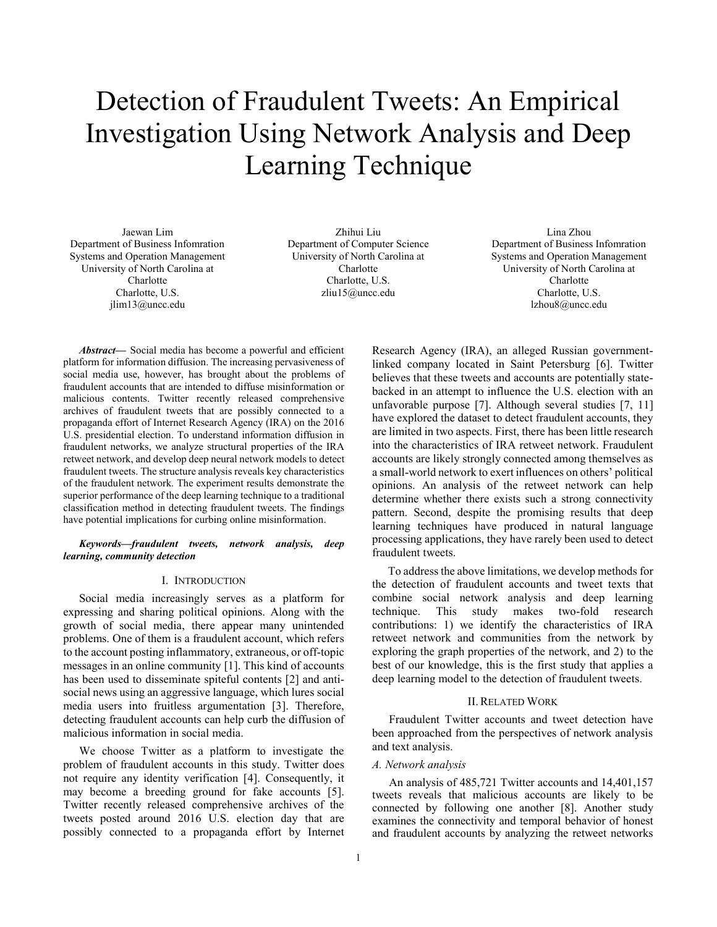# Detection of Fraudulent Tweets: An Empirical Investigation Using Network Analysis and Deep Learning Technique

Jaewan Lim Department of Business Infomration Systems and Operation Management University of North Carolina at Charlotte Charlotte, U.S. jlim13@uncc.edu

Zhihui Liu Department of Computer Science University of North Carolina at Charlotte Charlotte, U.S. zliu15@uncc.edu

Lina Zhou Department of Business Infomration Systems and Operation Management University of North Carolina at Charlotte Charlotte, U.S. lzhou8@uncc.edu

*Abstract***—** Social media has become a powerful and efficient platform for information diffusion. The increasing pervasiveness of social media use, however, has brought about the problems of fraudulent accounts that are intended to diffuse misinformation or malicious contents. Twitter recently released comprehensive archives of fraudulent tweets that are possibly connected to a propaganda effort of Internet Research Agency (IRA) on the 2016 U.S. presidential election. To understand information diffusion in fraudulent networks, we analyze structural properties of the IRA retweet network, and develop deep neural network models to detect fraudulent tweets. The structure analysis reveals key characteristics of the fraudulent network. The experiment results demonstrate the superior performance of the deep learning technique to a traditional classification method in detecting fraudulent tweets. The findings have potential implications for curbing online misinformation.

## *Keywords***—***fraudulent tweets, network analysis, deep learning, community detection*

# I. INTRODUCTION

Social media increasingly serves as a platform for expressing and sharing political opinions. Along with the growth of social media, there appear many unintended problems. One of them is a fraudulent account, which refers to the account posting inflammatory, extraneous, or off-topic messages in an online community [1]. This kind of accounts has been used to disseminate spiteful contents [2] and antisocial news using an aggressive language, which lures social media users into fruitless argumentation [3]. Therefore, detecting fraudulent accounts can help curb the diffusion of malicious information in social media.

We choose Twitter as a platform to investigate the problem of fraudulent accounts in this study. Twitter does not require any identity verification [4]. Consequently, it may become a breeding ground for fake accounts [5]. Twitter recently released comprehensive archives of the tweets posted around 2016 U.S. election day that are possibly connected to a propaganda effort by Internet

Research Agency (IRA), an alleged Russian governmentlinked company located in Saint Petersburg [6]. Twitter believes that these tweets and accounts are potentially statebacked in an attempt to influence the U.S. election with an unfavorable purpose [7]. Although several studies [7, 11] have explored the dataset to detect fraudulent accounts, they are limited in two aspects. First, there has been little research into the characteristics of IRA retweet network. Fraudulent accounts are likely strongly connected among themselves as a small-world network to exert influences on others' political opinions. An analysis of the retweet network can help determine whether there exists such a strong connectivity pattern. Second, despite the promising results that deep learning techniques have produced in natural language processing applications, they have rarely been used to detect fraudulent tweets.

To address the above limitations, we develop methods for the detection of fraudulent accounts and tweet texts that combine social network analysis and deep learning technique. This study makes two-fold research contributions: 1) we identify the characteristics of IRA retweet network and communities from the network by exploring the graph properties of the network, and 2) to the best of our knowledge, this is the first study that applies a deep learning model to the detection of fraudulent tweets.

# II.RELATED WORK

Fraudulent Twitter accounts and tweet detection have been approached from the perspectives of network analysis and text analysis.

# *A. Network analysis*

An analysis of 485,721 Twitter accounts and 14,401,157 tweets reveals that malicious accounts are likely to be connected by following one another [8]. Another study examines the connectivity and temporal behavior of honest and fraudulent accounts by analyzing the retweet networks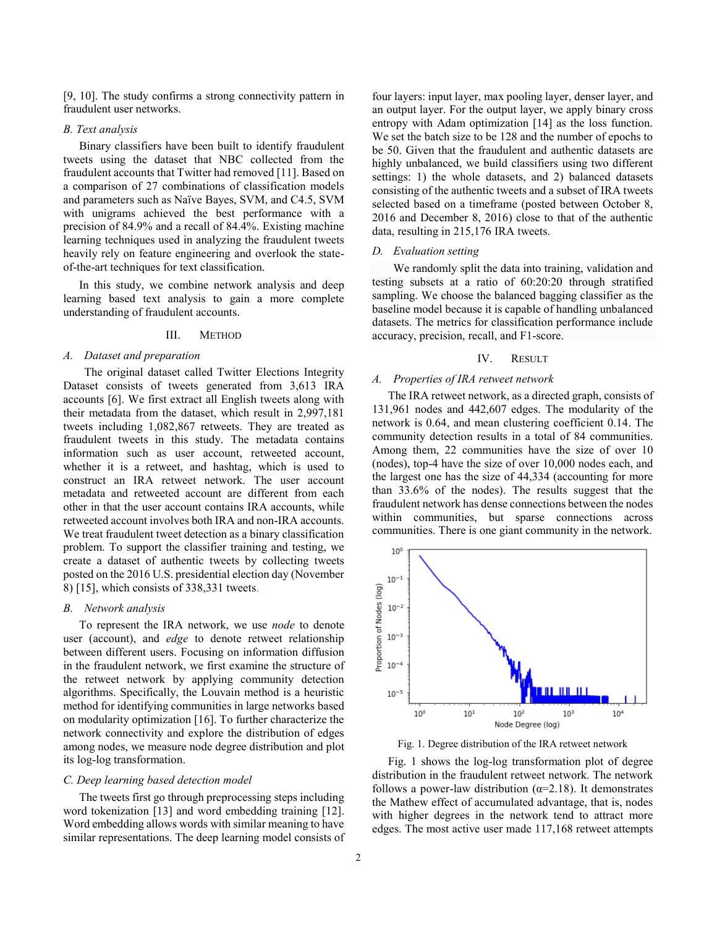[9, 10]. The study confirms a strong connectivity pattern in fraudulent user networks.

#### *B. Text analysis*

Binary classifiers have been built to identify fraudulent tweets using the dataset that NBC collected from the fraudulent accounts that Twitter had removed [11]. Based on a comparison of 27 combinations of classification models and parameters such as Naïve Bayes, SVM, and C4.5, SVM with unigrams achieved the best performance with a precision of 84.9% and a recall of 84.4%. Existing machine learning techniques used in analyzing the fraudulent tweets heavily rely on feature engineering and overlook the stateof-the-art techniques for text classification.

In this study, we combine network analysis and deep learning based text analysis to gain a more complete understanding of fraudulent accounts.

# III. METHOD

# *A. Dataset and preparation*

The original dataset called Twitter Elections Integrity Dataset consists of tweets generated from 3,613 IRA accounts [6]. We first extract all English tweets along with their metadata from the dataset, which result in 2,997,181 tweets including 1,082,867 retweets. They are treated as fraudulent tweets in this study. The metadata contains information such as user account, retweeted account, whether it is a retweet, and hashtag, which is used to construct an IRA retweet network. The user account metadata and retweeted account are different from each other in that the user account contains IRA accounts, while retweeted account involves both IRA and non-IRA accounts. We treat fraudulent tweet detection as a binary classification problem. To support the classifier training and testing, we create a dataset of authentic tweets by collecting tweets posted on the 2016 U.S. presidential election day (November 8) [15], which consists of 338,331 tweets.

#### *B. Network analysis*

To represent the IRA network, we use *node* to denote user (account), and *edge* to denote retweet relationship between different users. Focusing on information diffusion in the fraudulent network, we first examine the structure of the retweet network by applying community detection algorithms. Specifically, the Louvain method is a heuristic method for identifying communities in large networks based on modularity optimization [16]. To further characterize the network connectivity and explore the distribution of edges among nodes, we measure node degree distribution and plot its log-log transformation.

## *C. Deep learning based detection model*

The tweets first go through preprocessing steps including word tokenization [13] and word embedding training [12]. Word embedding allows words with similar meaning to have similar representations. The deep learning model consists of

four layers: input layer, max pooling layer, denser layer, and an output layer. For the output layer, we apply binary cross entropy with Adam optimization [14] as the loss function. We set the batch size to be 128 and the number of epochs to be 50. Given that the fraudulent and authentic datasets are highly unbalanced, we build classifiers using two different settings: 1) the whole datasets, and 2) balanced datasets consisting of the authentic tweets and a subset of IRA tweets selected based on a timeframe (posted between October 8, 2016 and December 8, 2016) close to that of the authentic data, resulting in 215,176 IRA tweets.

## *D. Evaluation setting*

We randomly split the data into training, validation and testing subsets at a ratio of 60:20:20 through stratified sampling. We choose the balanced bagging classifier as the baseline model because it is capable of handling unbalanced datasets. The metrics for classification performance include accuracy, precision, recall, and F1-score.

#### IV. RESULT

## *A. Properties of IRA retweet network*

The IRA retweet network, as a directed graph, consists of 131,961 nodes and 442,607 edges. The modularity of the network is 0.64, and mean clustering coefficient 0.14. The community detection results in a total of 84 communities. Among them, 22 communities have the size of over 10 (nodes), top-4 have the size of over 10,000 nodes each, and the largest one has the size of 44,334 (accounting for more than 33.6% of the nodes). The results suggest that the fraudulent network has dense connections between the nodes within communities, but sparse connections across communities. There is one giant community in the network.



Fig. 1. Degree distribution of the IRA retweet network

Fig. 1 shows the log-log transformation plot of degree distribution in the fraudulent retweet network. The network follows a power-law distribution ( $\alpha$ =2.18). It demonstrates the Mathew effect of accumulated advantage, that is, nodes with higher degrees in the network tend to attract more edges. The most active user made 117,168 retweet attempts